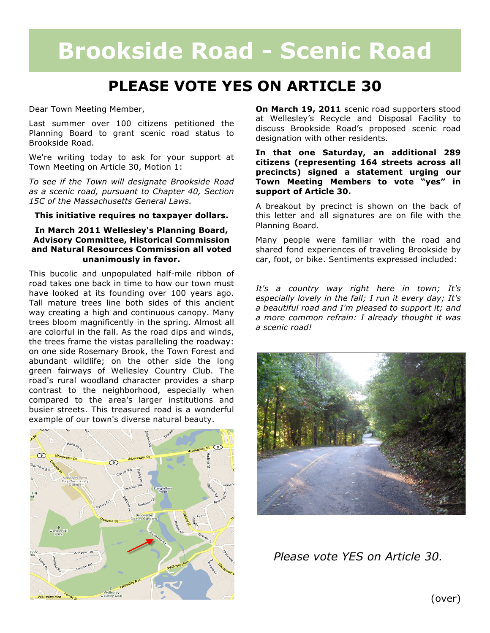## **Brookside Road - Scenic Road**

### **PLEASE VOTE YES ON ARTICLE 30**

Dear Town Meeting Member,

Last summer over 100 citizens petitioned the Planning Board to grant scenic road status to Brookside Road.

We're writing today to ask for your support at Town Meeting on Article 30, Motion 1:

*To see if the Town will designate Brookside Road as a scenic road, pursuant to Chapter 40, Section 15C of the Massachusetts General Laws.*

**This initiative requires no taxpayer dollars.**

#### **In March 2011 Wellesley's Planning Board, Advisory Committee, Historical Commission and Natural Resources Commission all voted unanimously in favor.**

This bucolic and unpopulated half-mile ribbon of road takes one back in time to how our town must have looked at its founding over 100 years ago. Tall mature trees line both sides of this ancient way creating a high and continuous canopy. Many trees bloom magnificently in the spring. Almost all are colorful in the fall. As the road dips and winds, the trees frame the vistas paralleling the roadway: on one side Rosemary Brook, the Town Forest and abundant wildlife; on the other side the long green fairways of Wellesley Country Club. The road's rural woodland character provides a sharp contrast to the neighborhood, especially when compared to the area's larger institutions and busier streets. This treasured road is a wonderful example of our town's diverse natural beauty.



**On March 19, 2011** scenic road supporters stood at Wellesley's Recycle and Disposal Facility to discuss Brookside Road's proposed scenic road designation with other residents.

#### **In that one Saturday, an additional 289 citizens (representing 164 streets across all precincts) signed a statement urging our Town Meeting Members to vote "yes" in support of Article 30.**

A breakout by precinct is shown on the back of this letter and all signatures are on file with the Planning Board.

Many people were familiar with the road and shared fond experiences of traveling Brookside by car, foot, or bike. Sentiments expressed included:

*It's a country way right here in town; It's especially lovely in the fall; I run it every day; It's a beautiful road and I'm pleased to support it; and a more common refrain: I already thought it was a scenic road!*



*Please vote YES on Article 30.*